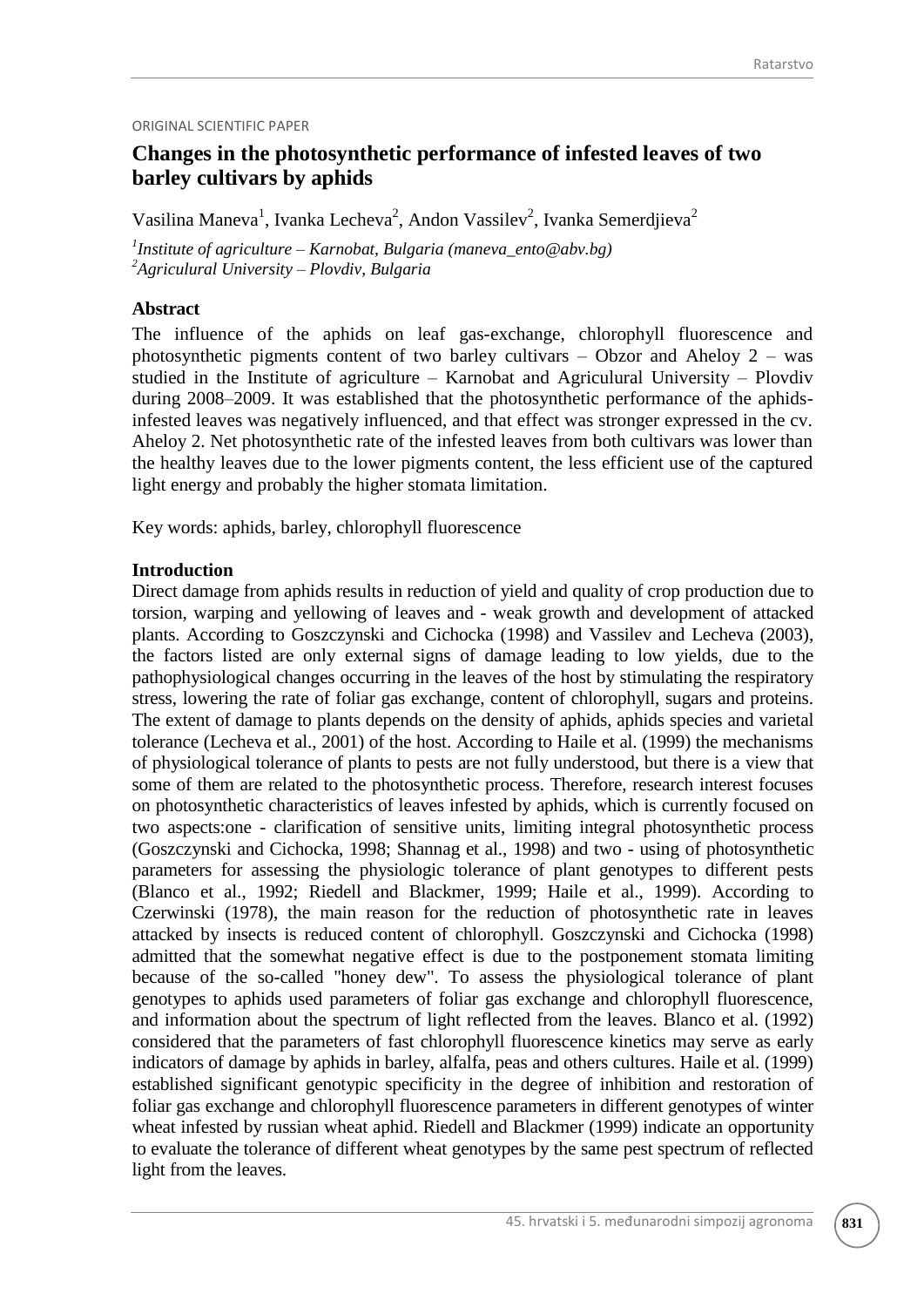### ORIGINAL SCIENTIFIC PAPER

# **Changes in the photosynthetic performance of infested leaves of two barley cultivars by aphids**

Vasilina Maneva<sup>1</sup>, Ivanka Lecheva<sup>2</sup>, Andon Vassilev<sup>2</sup>, Ivanka Semerdjieva<sup>2</sup>

*1 Institute of agriculture – Karnobat, Bulgaria (maneva\_ento@abv.bg) <sup>2</sup>Agriculural University – Plovdiv, Bulgaria*

## **Abstract**

The influence of the aphids on leaf gas-exchange, chlorophyll fluorescence and photosynthetic pigments content of two barley cultivars – Obzor and Aheloy 2 – was studied in the Institute of agriculture – Karnobat and Agriculural University – Plovdiv during 2008–2009. It was established that the photosynthetic performance of the aphidsinfested leaves was negatively influenced, and that effect was stronger expressed in the cv. Aheloy 2. Net photosynthetic rate of the infested leaves from both cultivars was lower than the healthy leaves due to the lower pigments content, the less efficient use of the captured light energy and probably the higher stomata limitation.

Key words: aphids, barley, chlorophyll fluorescence

### **Introduction**

Direct damage from aphids results in reduction of yield and quality of crop production due to torsion, warping and yellowing of leaves and - weak growth and development of attacked plants. According to Goszczynski and Cichocka (1998) and Vassilev and Lecheva (2003), the factors listed are only external signs of damage leading to low yields, due to the pathophysiological changes occurring in the leaves of the host by stimulating the respiratory stress, lowering the rate of foliar gas exchange, content of chlorophyll, sugars and proteins. The extent of damage to plants depends on the density of aphids, aphids species and varietal tolerance (Lecheva et al., 2001) of the host. According to Haile et al. (1999) the mechanisms of physiological tolerance of plants to pests are not fully understood, but there is a view that some of them are related to the photosynthetic process. Therefore, research interest focuses on photosynthetic characteristics of leaves infested by aphids, which is currently focused on two aspects:one - clarification of sensitive units, limiting integral photosynthetic process (Goszczynski and Cichocka, 1998; Shannag et al., 1998) and two - using of photosynthetic parameters for assessing the physiologic tolerance of plant genotypes to different pests (Blanco et al., 1992; Riedell and Blackmer, 1999; Haile et al., 1999). According to Czerwinski (1978), the main reason for the reduction of photosynthetic rate in leaves attacked by insects is reduced content of chlorophyll. Goszczynski and Cichocka (1998) admitted that the somewhat negative effect is due to the postponement stomata limiting because of the so-called "honey dew". To assess the physiological tolerance of plant genotypes to aphids used parameters of foliar gas exchange and chlorophyll fluorescence, and information about the spectrum of light reflected from the leaves. Blanco et al. (1992) considered that the parameters of fast chlorophyll fluorescence kinetics may serve as early indicators of damage by aphids in barley, alfalfa, peas and others cultures. Haile et al. (1999) established significant genotypic specificity in the degree of inhibition and restoration of foliar gas exchange and chlorophyll fluorescence parameters in different genotypes of winter wheat infested by russian wheat aphid. Riedell and Blackmer (1999) indicate an opportunity to evaluate the tolerance of different wheat genotypes by the same pest spectrum of reflected light from the leaves.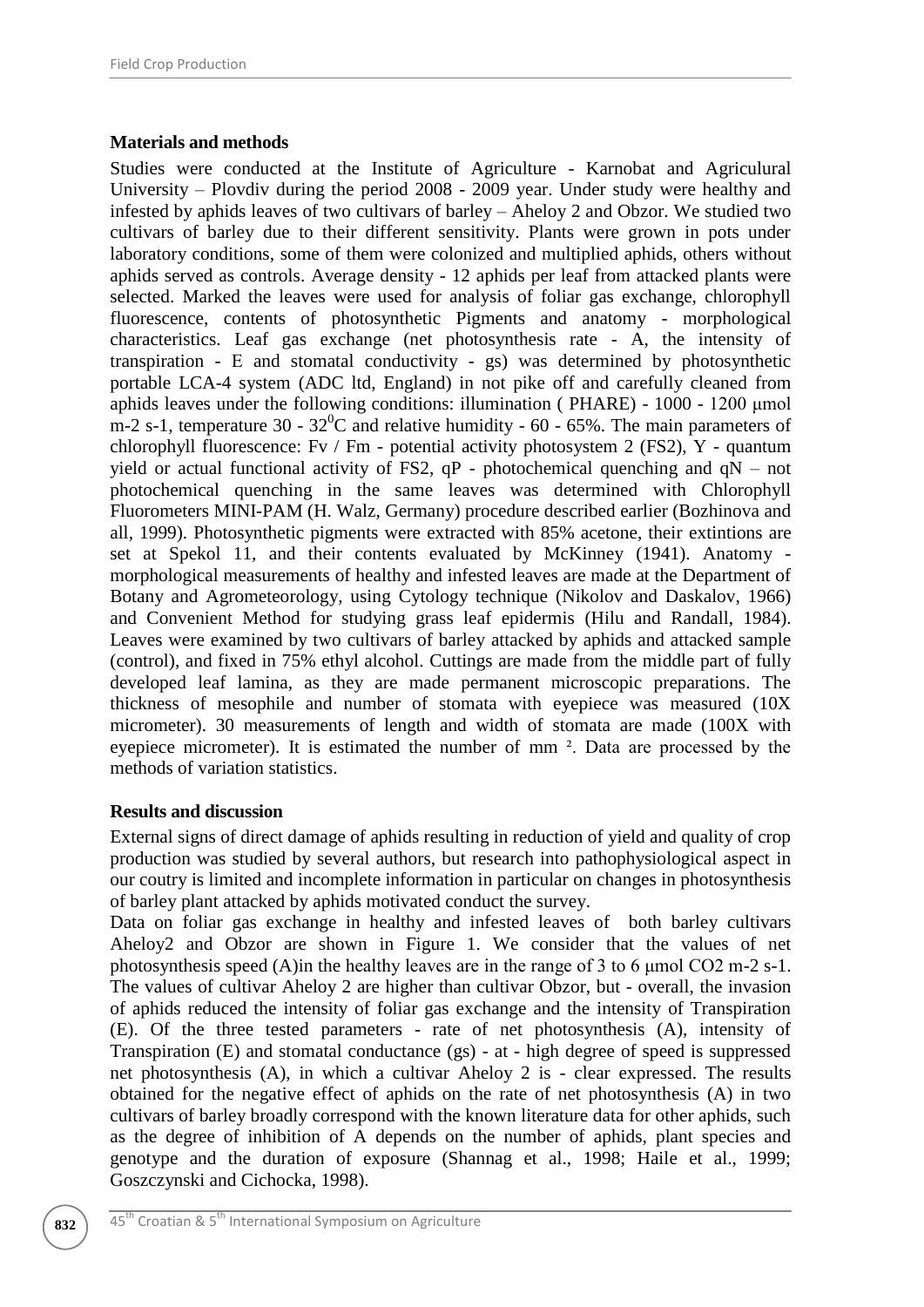# **Materials and methods**

Studies were conducted at the Institute of Agriculture - Karnobat and Agriculural University – Plovdiv during the period 2008 - 2009 year. Under study were healthy and infested by aphids leaves of two cultivars of barley – Aheloy 2 and Obzor. We studied two cultivars of barley due to their different sensitivity. Plants were grown in pots under laboratory conditions, some of them were colonized and multiplied aphids, others without aphids served as controls. Average density - 12 aphids per leaf from attacked plants were selected. Marked the leaves were used for analysis of foliar gas exchange, chlorophyll fluorescence, contents of photosynthetic Pigments and anatomy - morphological characteristics. Leaf gas exchange (net photosynthesis rate - A, the intensity of transpiration - Е and stomatal conductivity - gs) was determined by photosynthetic portable LCA-4 system (ADC ltd, England) in not pike off and carefully cleaned from aphids leaves under the following conditions: illumination ( PHARE) - 1000 - 1200 μmol m-2 s-1, temperature 30 -  $32^{\circ}$ C and relative humidity - 60 - 65%. The main parameters of chlorophyll fluorescence: Fv / Fm - potential activity photosystem 2 (FS2), Y - quantum yield or actual functional activity of FS2,  $qP$  - photochemical quenching and  $qN$  – not photochemical quenching in the same leaves was determined with Chlorophyll Fluorometers MINI-PAM (H. Walz, Germany) procedure described earlier (Bozhinova and all, 1999). Photosynthetic pigments were extracted with 85% acetone, their extintions are set at Spekol 11, and their contents evaluated by McKinney (1941). Anatomy morphological measurements of healthy and infested leaves are made at the Department of Botany and Agrometeorology, using Cytology technique (Nikolov and Daskalov, 1966) and Convenient Method for studying grass leaf epidermis (Hilu and Randall, 1984). Leaves were examined by two cultivars of barley attacked by aphids and attacked sample (control), and fixed in 75% ethyl alcohol. Cuttings are made from the middle part of fully developed leaf lamina, as they are made permanent microscopic preparations. The thickness of mesophile and number of stomata with eyepiece was measured (10X micrometer). 30 measurements of length and width of stomata are made (100X with eyepiece micrometer). It is estimated the number of mm ². Data are processed by the methods of variation statistics.

# **Results and discussion**

External signs of direct damage of aphids resulting in reduction of yield and quality of crop production was studied by several authors, but research into pathophysiological aspect in our coutry is limited and incomplete information in particular on changes in photosynthesis of barley plant attacked by aphids motivated conduct the survey.

Data on foliar gas exchange in healthy and infested leaves of both barley cultivars Aheloy2 and Obzor are shown in Figure 1. We consider that the values of net photosynthesis speed (A)in the healthy leaves are in the range of 3 to 6 μmol CO2 m-2 s-1. The values of cultivar Aheloy 2 are higher than cultivar Obzor, but - overall, the invasion of aphids reduced the intensity of foliar gas exchange and the intensity of Transpiration (E). Of the three tested parameters - rate of net photosynthesis (A), intensity of Transpiration (E) and stomatal conductance (gs) - at - high degree of speed is suppressed net photosynthesis (A), in which a cultivar Aheloy 2 is - clear expressed. The results obtained for the negative effect of aphids on the rate of net photosynthesis (A) in two cultivars of barley broadly correspond with the known literature data for other aphids, such as the degree of inhibition of A depends on the number of aphids, plant species and genotype and the duration of exposure (Shannag et al., 1998; Haile et al., 1999; Goszczynski and Cichocka, 1998).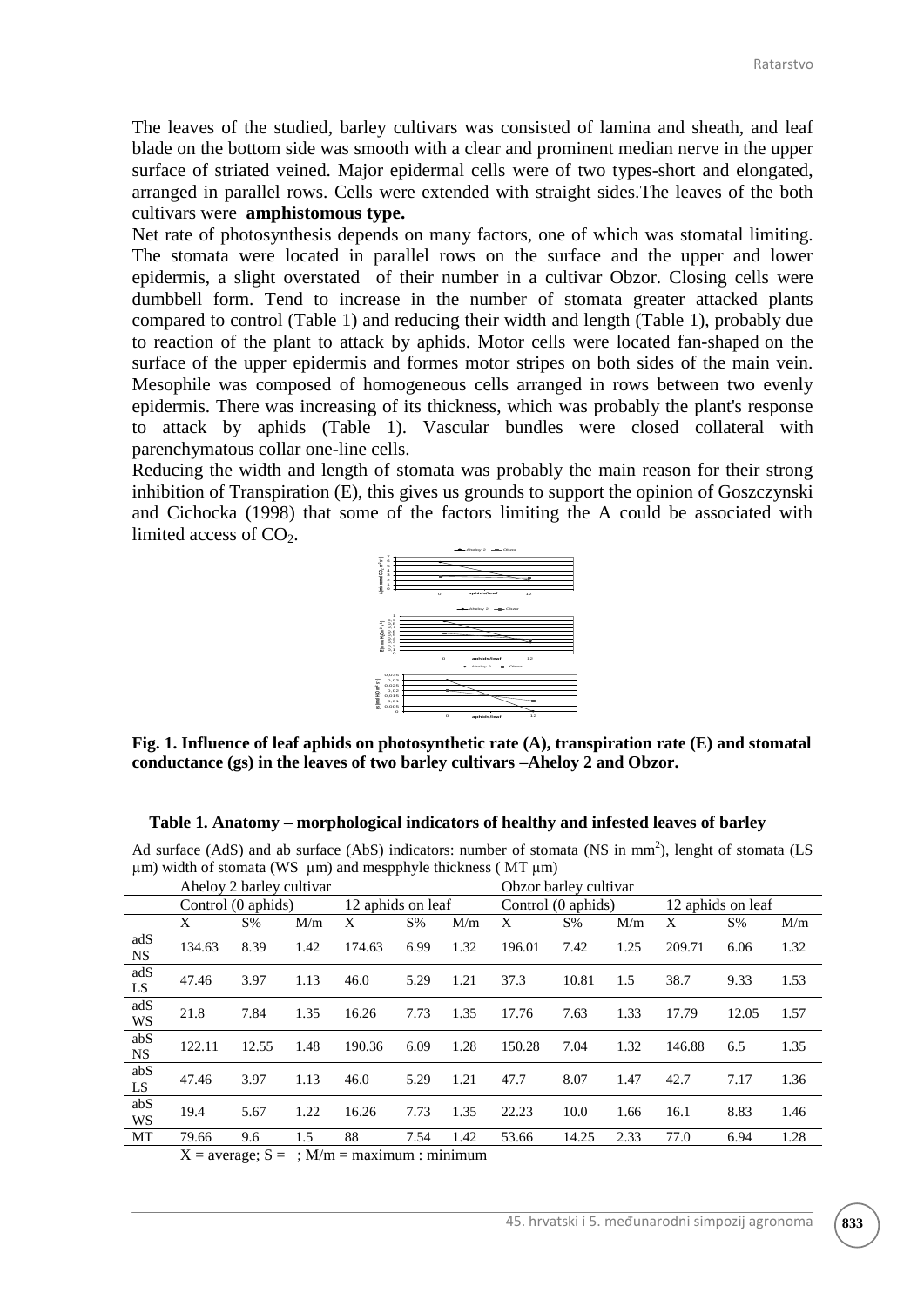The leaves of the studied, barley cultivars was consisted of lamina and sheath, and leaf blade on the bottom side was smooth with a clear and prominent median nerve in the upper surface of striated veined. Major epidermal cells were of two types-short and elongated, arranged in parallel rows. Cells were extended with straight sides.The leaves of the both cultivars were **amphistomous type.**

Net rate of photosynthesis depends on many factors, one of which was stomatal limiting. The stomata were located in parallel rows on the surface and the upper and lower epidermis, a slight overstated of their number in a cultivar Obzor. Closing cells were dumbbell form. Tend to increase in the number of stomata greater attacked plants compared to control (Table 1) and reducing their width and length (Table 1), probably due to reaction of the plant to attack by aphids. Motor cells were located fan-shaped on the surface of the upper epidermis and formes motor stripes on both sides of the main vein. Mesophile was composed of homogeneous cells arranged in rows between two evenly epidermis. There was increasing of its thickness, which was probably the plant's response to attack by aphids (Table 1). Vascular bundles were closed collateral with parenchymatous collar one-line cells.

Reducing the width and length of stomata was probably the main reason for their strong inhibition of Transpiration (E), this gives us grounds to support the opinion of Goszczynski and Cichocka (1998) that some of the factors limiting the A could be associated with limited access of  $CO<sub>2</sub>$ . Aheloy  $2 \longrightarrow$  Obzor



**Fig. 1. Influence of leaf aphids on photosynthetic rate (A), transpiration rate (E) and stomatal conductance (gs) in the leaves of two barley cultivars –Aheloy 2 and Obzor.**

#### **Table 1. Anatomy – morphological indicators of healthy and infested leaves of barley**

| $\mu$ m) widin of stomata (w $\mu$ $\mu$ m) and mespphyle unckness ( $\mu$ i $\mu$ m) |                          |        |              |                   |       |      |                       |       |      |                   |       |      |
|---------------------------------------------------------------------------------------|--------------------------|--------|--------------|-------------------|-------|------|-----------------------|-------|------|-------------------|-------|------|
|                                                                                       | Aheloy 2 barley cultivar |        |              |                   |       |      | Obzor barley cultivar |       |      |                   |       |      |
|                                                                                       | Control (0 aphids)       |        |              | 12 aphids on leaf |       |      | Control (0 aphids)    |       |      | 12 aphids on leaf |       |      |
|                                                                                       | X                        | $S\%$  | M/m          | Х                 | $S\%$ | M/m  | X                     | $S\%$ | M/m  | Χ                 | $S\%$ | M/m  |
| adS<br><b>NS</b>                                                                      | 134.63                   | 8.39   | 1.42         | 174.63            | 6.99  | 1.32 | 196.01                | 7.42  | 1.25 | 209.71            | 6.06  | 1.32 |
| adS<br>LS                                                                             | 47.46                    | 3.97   | 1.13         | 46.0              | 5.29  | 1.21 | 37.3                  | 10.81 | 1.5  | 38.7              | 9.33  | 1.53 |
| adS<br>WS                                                                             | 21.8                     | 7.84   | 1.35         | 16.26             | 7.73  | 1.35 | 17.76                 | 7.63  | 1.33 | 17.79             | 12.05 | 1.57 |
| abS<br><b>NS</b>                                                                      | 122.11                   | 12.55  | 1.48         | 190.36            | 6.09  | 1.28 | 150.28                | 7.04  | 1.32 | 146.88            | 6.5   | 1.35 |
| abS<br>LS                                                                             | 47.46                    | 3.97   | 1.13         | 46.0              | 5.29  | 1.21 | 47.7                  | 8.07  | 1.47 | 42.7              | 7.17  | 1.36 |
| abS<br>WS                                                                             | 19.4                     | 5.67   | 1.22         | 16.26             | 7.73  | 1.35 | 22.23                 | 10.0  | 1.66 | 16.1              | 8.83  | 1.46 |
| MT                                                                                    | 79.66                    | 9.6    | 1.5          | 88                | 7.54  | 1.42 | 53.66                 | 14.25 | 2.33 | 77.0              | 6.94  | 1.28 |
|                                                                                       | v y                      | $\sim$ | $\mathbf{r}$ |                   |       |      |                       |       |      |                   |       |      |

Ad surface (AdS) and ab surface (AbS) indicators: number of stomata (NS in mm<sup>2</sup>), lenght of stomata (LS  $100 \text{ C}$  width of  $\frac{1}{2}$   $\frac{1}{2}$   $\frac{1}{2}$   $\frac{1}{2}$   $\frac{1}{2}$   $\frac{1}{2}$   $\frac{1}{2}$   $\frac{1}{2}$   $\frac{1}{2}$   $\frac{1}{2}$   $\frac{1}{2}$   $\frac{1}{2}$   $\frac{1}{2}$   $\frac{1}{2}$   $\frac{1}{2}$   $\frac{1}{2}$   $\frac{1}{2}$   $\frac{1}{2}$   $\frac{1}{2}$   $\frac{1}{2}$ 

 $X = average$ ;  $S = ; M/m = maximum$ : minimum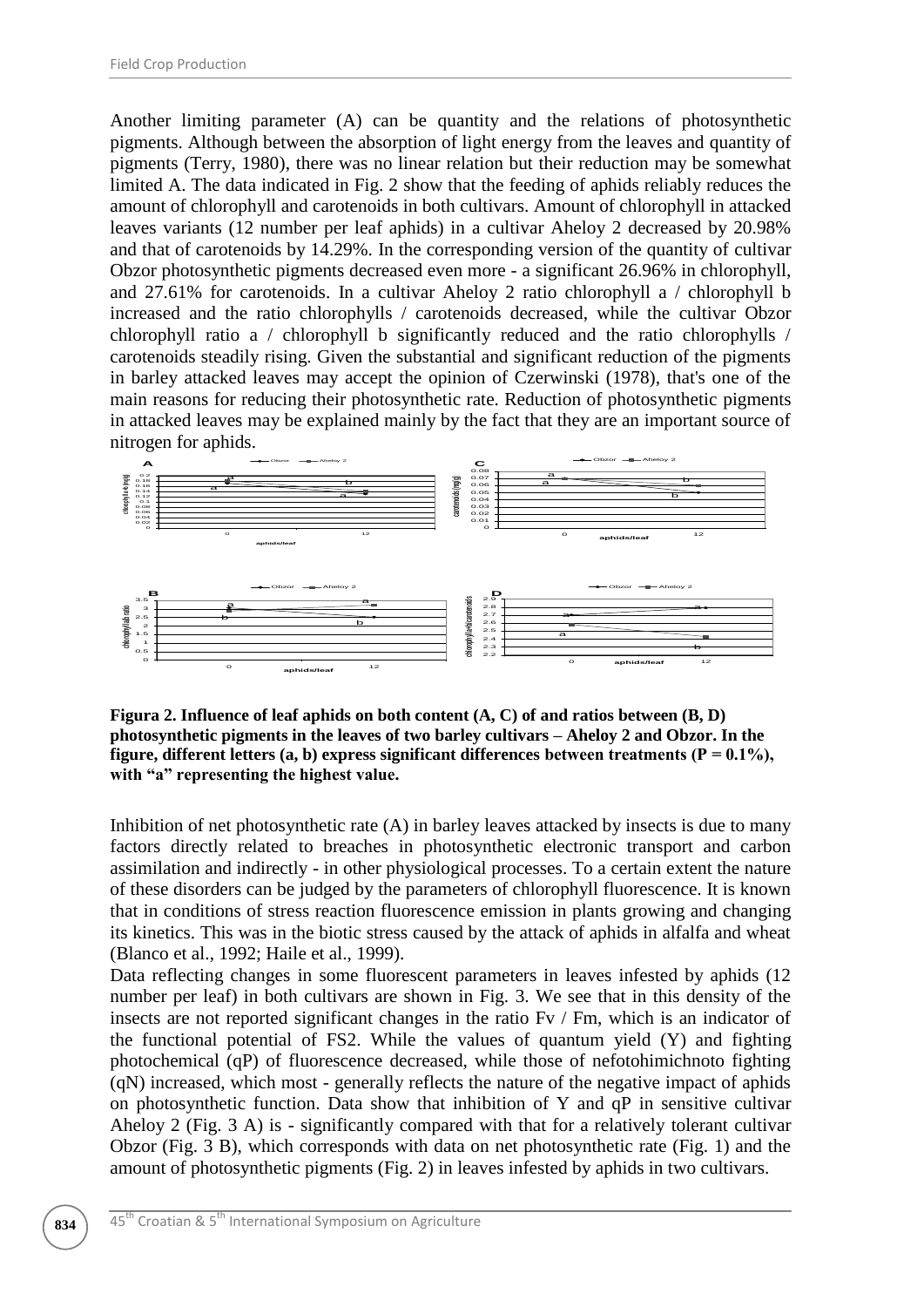Another limiting parameter (A) can be quantity and the relations of photosynthetic pigments. Although between the absorption of light energy from the leaves and quantity of pigments (Terry, 1980), there was no linear relation but their reduction may be somewhat limited A. The data indicated in Fig. 2 show that the feeding of aphids reliably reduces the amount of chlorophyll and carotenoids in both cultivars. Amount of chlorophyll in attacked leaves variants (12 number per leaf aphids) in a cultivar Aheloy 2 decreased by 20.98% and that of carotenoids by 14.29%. In the corresponding version of the quantity of cultivar Obzor photosynthetic pigments decreased even more - a significant 26.96% in chlorophyll, and 27.61% for carotenoids. In a cultivar Aheloy 2 ratio chlorophyll a / chlorophyll b increased and the ratio chlorophylls / carotenoids decreased, while the cultivar Obzor chlorophyll ratio a / chlorophyll b significantly reduced and the ratio chlorophylls / carotenoids steadily rising. Given the substantial and significant reduction of the pigments in barley attacked leaves may accept the opinion of Czerwinski (1978), that's one of the main reasons for reducing their photosynthetic rate. Reduction of photosynthetic pigments in attacked leaves may be explained mainly by the fact that they are an important source of nitrogen for aphids.



**Figura 2. Influence of leaf aphids on both content (A, C) of and ratios between (B, D) photosynthetic pigments in the leaves of two barley cultivars – Aheloy 2 and Obzor. In the**  figure, different letters  $(a, b)$  express significant differences between treatments  $(P = 0.1\%)$ , **with "a" representing the highest value.**

Inhibition of net photosynthetic rate (A) in barley leaves attacked by insects is due to many factors directly related to breaches in photosynthetic electronic transport and carbon assimilation and indirectly - in other physiological processes. To a certain extent the nature of these disorders can be judged by the parameters of chlorophyll fluorescence. It is known that in conditions of stress reaction fluorescence emission in plants growing and changing its kinetics. This was in the biotic stress caused by the attack of aphids in alfalfa and wheat (Blanco et al., 1992; Haile et al., 1999).

Data reflecting changes in some fluorescent parameters in leaves infested by aphids (12 number per leaf) in both cultivars are shown in Fig. 3. We see that in this density of the insects are not reported significant changes in the ratio Fv / Fm, which is an indicator of the functional potential of FS2. While the values of quantum yield (Y) and fighting photochemical (qP) of fluorescence decreased, while those of nefotohimichnoto fighting (qN) increased, which most - generally reflects the nature of the negative impact of aphids on photosynthetic function. Data show that inhibition of Y and  $qP$  in sensitive cultivar Aheloy 2 (Fig. 3 A) is - significantly compared with that for a relatively tolerant cultivar Obzor (Fig. 3 B), which corresponds with data on net photosynthetic rate (Fig. 1) and the amount of photosynthetic pigments (Fig. 2) in leaves infested by aphids in two cultivars.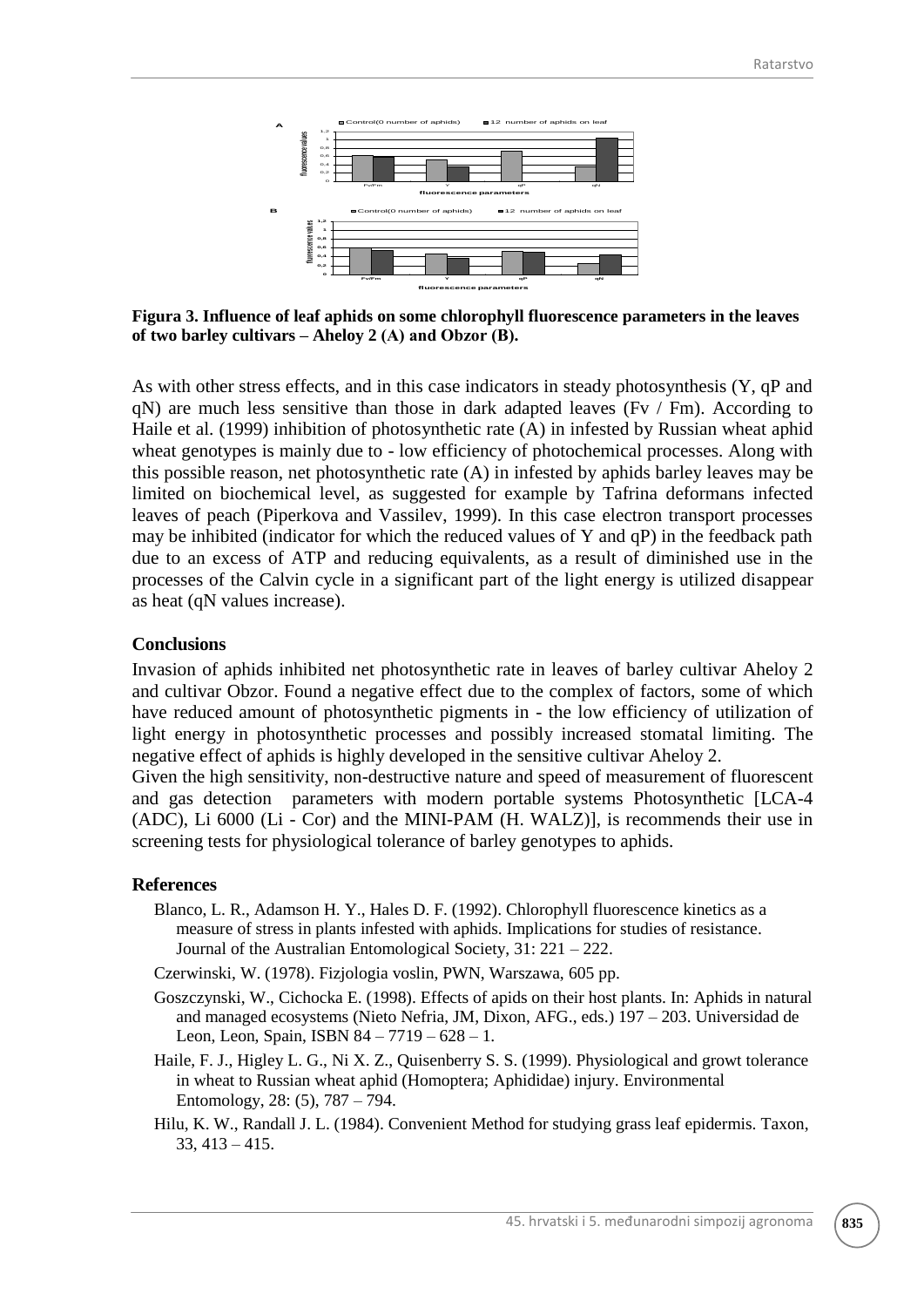

**Figura 3. Influence of leaf aphids on some chlorophyll fluorescence parameters in the leaves of two barley cultivars – Aheloy 2 (А) and Obzor (В).**

As with other stress effects, and in this case indicators in steady photosynthesis (Y, qP and  $qN$ ) are much less sensitive than those in dark adapted leaves (Fy / Fm). According to Haile et al. (1999) inhibition of photosynthetic rate (A) in infested by Russian wheat aphid wheat genotypes is mainly due to - low efficiency of photochemical processes. Along with this possible reason, net photosynthetic rate (A) in infested by aphids barley leaves may be limited on biochemical level, as suggested for example by Tafrina deformans infected leaves of peach (Piperkova and Vassilev, 1999). In this case electron transport processes may be inhibited (indicator for which the reduced values of Y and qP) in the feedback path due to an excess of ATP and reducing equivalents, as a result of diminished use in the processes of the Calvin cycle in a significant part of the light energy is utilized disappear as heat (qN values increase).

### **Conclusions**

Invasion of aphids inhibited net photosynthetic rate in leaves of barley cultivar Aheloy 2 and cultivar Obzor. Found a negative effect due to the complex of factors, some of which have reduced amount of photosynthetic pigments in - the low efficiency of utilization of light energy in photosynthetic processes and possibly increased stomatal limiting. The negative effect of aphids is highly developed in the sensitive cultivar Aheloy 2.

Given the high sensitivity, non-destructive nature and speed of measurement of fluorescent and gas detection parameters with modern portable systems Photosynthetic [LCA-4 (ADC), Li 6000 (Li - Cor) and the MINI-PAM (H. WALZ)], is recommends their use in screening tests for physiological tolerance of barley genotypes to aphids.

#### **References**

- Blanco, L. R., Adamson H. Y., Hales D. F. (1992). Chlorophyll fluorescence kinetics as a measure of stress in plants infested with aphids. Implications for studies of resistance. Journal of the Australian Entomological Society, 31: 221 – 222.
- Czerwinski, W. (1978). Fizjologia voslin, PWN, Warszawa, 605 pp.
- Goszczynski, W., Cichocka E. (1998). Effects of apids on their host plants. In: Aphids in natural and managed ecosystems (Nieto Nefria, JM, Dixon, AFG., eds.) 197 – 203. Universidad de Leon, Leon, Spain, ISBN 84 – 7719 – 628 – 1.
- Haile, F. J., Higley L. G., Ni X. Z., Quisenberry S. S. (1999). Physiological and growt tolerance in wheat to Russian wheat aphid (Homoptera; Aphididae) injury. Environmental Entomology, 28: (5), 787 – 794.
- Hilu, K. W., Randall J. L. (1984). Convenient Method for studying grass leaf epidermis. Taxon, 33, 413 – 415.